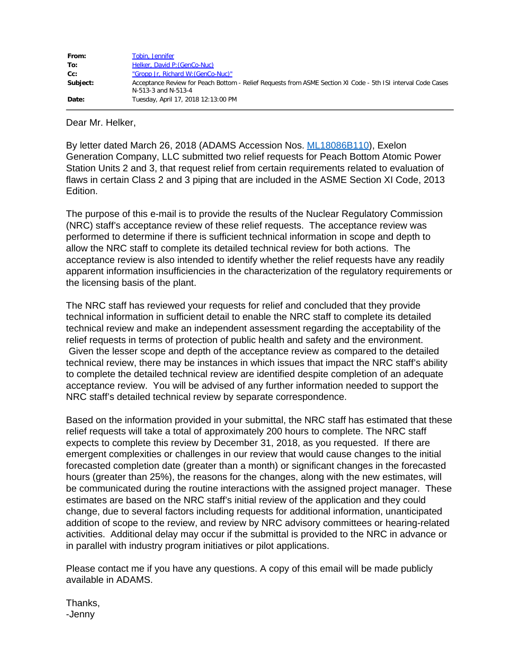| From:    | Tobin, Jennifer                                                                                                                     |
|----------|-------------------------------------------------------------------------------------------------------------------------------------|
| To:      | Helker, David P: (GenCo-Nuc)                                                                                                        |
| $Cc$ :   | "Gropp Jr, Richard W: (GenCo-Nuc)"                                                                                                  |
| Subject: | Acceptance Review for Peach Bottom - Relief Requests from ASME Section XI Code - 5th ISI interval Code Cases<br>N-513-3 and N-513-4 |
| Date:    | Tuesday, April 17, 2018 12:13:00 PM                                                                                                 |

Dear Mr. Helker,

By letter dated March 26, 2018 (ADAMS Accession Nos. [ML18086B110](https://adamsxt.nrc.gov/idmws/ViewDocByAccession.asp?AccessionNumber=ML18086B110)), Exelon Generation Company, LLC submitted two relief requests for Peach Bottom Atomic Power Station Units 2 and 3, that request relief from certain requirements related to evaluation of flaws in certain Class 2 and 3 piping that are included in the ASME Section XI Code, 2013 Edition.

The purpose of this e-mail is to provide the results of the Nuclear Regulatory Commission (NRC) staff's acceptance review of these relief requests. The acceptance review was performed to determine if there is sufficient technical information in scope and depth to allow the NRC staff to complete its detailed technical review for both actions. The acceptance review is also intended to identify whether the relief requests have any readily apparent information insufficiencies in the characterization of the regulatory requirements or the licensing basis of the plant.

The NRC staff has reviewed your requests for relief and concluded that they provide technical information in sufficient detail to enable the NRC staff to complete its detailed technical review and make an independent assessment regarding the acceptability of the relief requests in terms of protection of public health and safety and the environment. Given the lesser scope and depth of the acceptance review as compared to the detailed technical review, there may be instances in which issues that impact the NRC staff's ability to complete the detailed technical review are identified despite completion of an adequate acceptance review. You will be advised of any further information needed to support the NRC staff's detailed technical review by separate correspondence.

Based on the information provided in your submittal, the NRC staff has estimated that these relief requests will take a total of approximately 200 hours to complete. The NRC staff expects to complete this review by December 31, 2018, as you requested. If there are emergent complexities or challenges in our review that would cause changes to the initial forecasted completion date (greater than a month) or significant changes in the forecasted hours (greater than 25%), the reasons for the changes, along with the new estimates, will be communicated during the routine interactions with the assigned project manager. These estimates are based on the NRC staff's initial review of the application and they could change, due to several factors including requests for additional information, unanticipated addition of scope to the review, and review by NRC advisory committees or hearing-related activities. Additional delay may occur if the submittal is provided to the NRC in advance or in parallel with industry program initiatives or pilot applications.

Please contact me if you have any questions. A copy of this email will be made publicly available in ADAMS.

Thanks, -Jenny